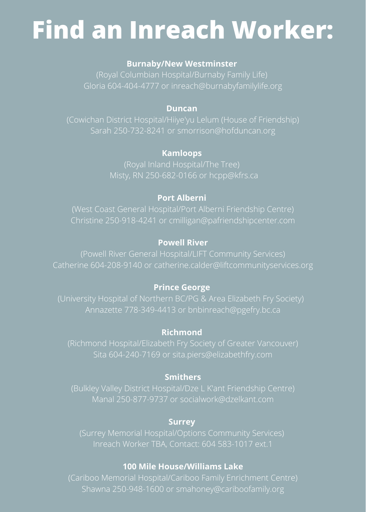# **Find an Inreach Worker:**

#### **Burnaby/New Westminster**

Gloria 604-404-4777 or inreach@burnabyfamilylife.org

#### **Duncan**

#### **Kamloops**

# **Port Alberni**

Christine 250-918-4241 or cmilligan@pafriendshipcenter.com

# **Powell River**

#### **Prince George**

Annazette 778-349-4413 or bnbinreach@pgefry.bc.ca

#### **Richmond**

Sita 604-240-7169 or sita.piers@elizabethfry.com

# **Smithers**

Manal 250-877-9737 or socialwork@dzelkant.com

#### **Surrey**

# **100 Mile House/Williams Lake**

Shawna 250-948-1600 or smahoney@cariboofamily.org